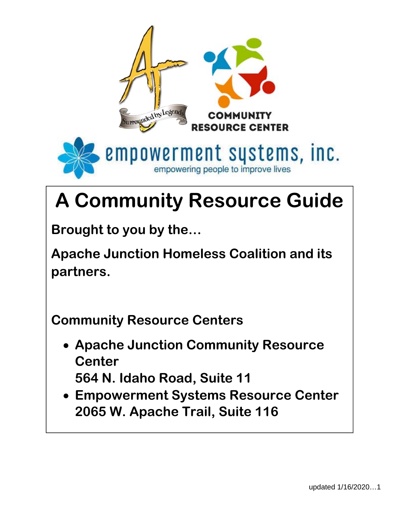

# **A Community Resource Guide**

**Brought to you by the…** 

**Apache Junction Homeless Coalition and its partners.** 

**Community Resource Centers** 

- **Apache Junction Community Resource Center 564 N. Idaho Road, Suite 11**
- **Empowerment Systems Resource Center 2065 W. Apache Trail, Suite 116**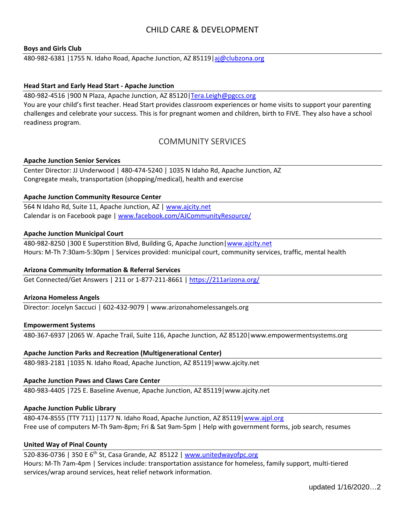# CHILD CARE & DEVELOPMENT

#### **Boys and Girls Club**

480-982-6381 | 1755 N. Idaho Road, Apache Junction, AZ 85119 | aj@clubzona.org

#### **Head Start and Early Head Start ‐ Apache Junction**

480‐982‐4516 |900 N Plaza, Apache Junction, AZ 85120|Tera.Leigh@pgccs.org

You are your child's first teacher. Head Start provides classroom experiences or home visits to support your parenting challenges and celebrate your success. This is for pregnant women and children, birth to FIVE. They also have a school readiness program.

# COMMUNITY SERVICES

#### **Apache Junction Senior Services**

Center Director: JJ Underwood | 480‐474‐5240 | 1035 N Idaho Rd, Apache Junction, AZ Congregate meals, transportation (shopping/medical), health and exercise

#### **Apache Junction Community Resource Center**

564 N Idaho Rd, Suite 11, Apache Junction, AZ | www.ajcity.net Calendar is on Facebook page | www.facebook.com/AJCommunityResource/

#### **Apache Junction Municipal Court**

480‐982‐8250 |300 E Superstition Blvd, Building G, Apache Junction|www.ajcity.net Hours: M‐Th 7:30am‐5:30pm | Services provided: municipal court, community services, traffic, mental health

# **Arizona Community Information & Referral Services**

Get Connected/Get Answers | 211 or 1‐877‐211‐8661 | https://211arizona.org/

#### **Arizona Homeless Angels**

Director: Jocelyn Saccuci | 602‐432‐9079 | www.arizonahomelessangels.org

#### **Empowerment Systems**

480‐367‐6937 |2065 W. Apache Trail, Suite 116, Apache Junction, AZ 85120|www.empowermentsystems.org

# **Apache Junction Parks and Recreation (Multigenerational Center)**

480‐983‐2181 |1035 N. Idaho Road, Apache Junction, AZ 85119|www.ajcity.net

#### **Apache Junction Paws and Claws Care Center**

480‐983‐4405 |725 E. Baseline Avenue, Apache Junction, AZ 85119|www.ajcity.net

#### **Apache Junction Public Library**

480‐474‐8555 (TTY 711) |1177 N. Idaho Road, Apache Junction, AZ 85119|www.ajpl.org Free use of computers M‐Th 9am‐8pm; Fri & Sat 9am‐5pm | Help with government forms, job search, resumes

# **United Way of Pinal County**

520-836-0736 | 350 E 6<sup>th</sup> St, Casa Grande, AZ 85122 | www.unitedwayofpc.org Hours: M‐Th 7am‐4pm | Services include: transportation assistance for homeless, family support, multi‐tiered services/wrap around services, heat relief network information.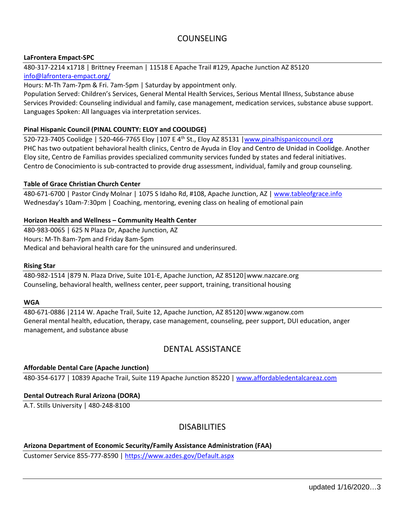# COUNSELING

# **LaFrontera Empact‐SPC**

480‐317‐2214 x1718 | Brittney Freeman | 11518 E Apache Trail #129, Apache Junction AZ 85120 info@lafrontera‐empact.org/

Hours: M‐Th 7am‐7pm & Fri. 7am‐5pm | Saturday by appointment only.

Population Served: Children's Services, General Mental Health Services, Serious Mental Illness, Substance abuse Services Provided: Counseling individual and family, case management, medication services, substance abuse support. Languages Spoken: All languages via interpretation services.

## **Pinal Hispanic Council (PINAL COUNTY: ELOY and COOLIDGE)**

520‐723‐7405 Coolidge | 520‐466‐7765 Eloy |107 E 4th St., Eloy AZ 85131 |www.pinalhispaniccouncil.org PHC has two outpatient behavioral health clinics, Centro de Ayuda in Eloy and Centro de Unidad in Coolidge. Another Eloy site, Centro de Familias provides specialized community services funded by states and federal initiatives. Centro de Conocimiento is sub‐contracted to provide drug assessment, individual, family and group counseling.

## **Table of Grace Christian Church Center**

480‐671‐6700 | Pastor Cindy Molnar | 1075 S Idaho Rd, #108, Apache Junction, AZ | www.tableofgrace.info Wednesday's 10am-7:30pm | Coaching, mentoring, evening class on healing of emotional pain

## **Horizon Health and Wellness – Community Health Center**

480‐983‐0065 | 625 N Plaza Dr, Apache Junction, AZ Hours: M‐Th 8am‐7pm and Friday 8am‐5pm Medical and behavioral health care for the uninsured and underinsured.

#### **Rising Star**

480‐982‐1514 |879 N. Plaza Drive, Suite 101‐E, Apache Junction, AZ 85120|www.nazcare.org Counseling, behavioral health, wellness center, peer support, training, transitional housing

#### **WGA**

480‐671‐0886 |2114 W. Apache Trail, Suite 12, Apache Junction, AZ 85120|www.wganow.com General mental health, education, therapy, case management, counseling, peer support, DUI education, anger management, and substance abuse

# DENTAL ASSISTANCE

# **Affordable Dental Care (Apache Junction)**

480-354-6177 | 10839 Apache Trail, Suite 119 Apache Junction 85220 | www.affordabledentalcareaz.com

#### **Dental Outreach Rural Arizona (DORA)**

A.T. Stills University | 480‐248‐8100

# DISABILITIES

# **Arizona Department of Economic Security/Family Assistance Administration (FAA)**

Customer Service 855‐777‐8590 | https://www.azdes.gov/Default.aspx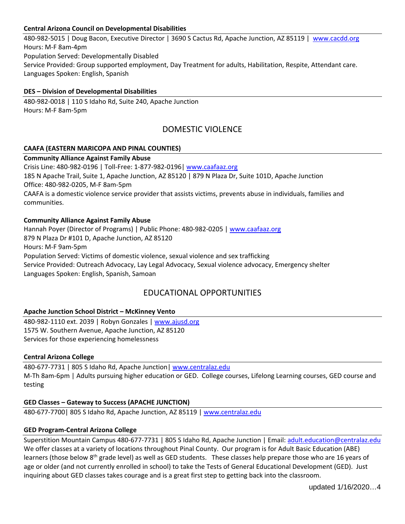# **Central Arizona Council on Developmental Disabilities**

480‐982‐5015 | Doug Bacon, Executive Director | 3690 S Cactus Rd, Apache Junction, AZ 85119 | www.cacdd.org Hours: M‐F 8am‐4pm Population Served: Developmentally Disabled Service Provided: Group supported employment, Day Treatment for adults, Habilitation, Respite, Attendant care. Languages Spoken: English, Spanish

# **DES – Division of Developmental Disabilities**

480‐982‐0018 | 110 S Idaho Rd, Suite 240, Apache Junction Hours: M‐F 8am‐5pm

# DOMESTIC VIOLENCE

## **CAAFA (EASTERN MARICOPA AND PINAL COUNTIES)**

# **Community Alliance Against Family Abuse**

Crisis Line: 480‐982‐0196 | Toll‐Free: 1‐877‐982‐0196| www.caafaaz.org 185 N Apache Trail, Suite 1, Apache Junction, AZ 85120 | 879 N Plaza Dr, Suite 101D, Apache Junction Office: 480‐982‐0205, M‐F 8am‐5pm CAAFA is a domestic violence service provider that assists victims, prevents abuse in individuals, families and communities.

# **Community Alliance Against Family Abuse**

Hannah Poyer (Director of Programs) | Public Phone: 480-982-0205 | www.caafaaz.org 879 N Plaza Dr #101 D, Apache Junction, AZ 85120 Hours: M‐F 9am‐5pm Population Served: Victims of domestic violence, sexual violence and sex trafficking Service Provided: Outreach Advocacy, Lay Legal Advocacy, Sexual violence advocacy, Emergency shelter Languages Spoken: English, Spanish, Samoan

# EDUCATIONAL OPPORTUNITIES

# **Apache Junction School District – McKinney Vento**

480‐982‐1110 ext. 2039 | Robyn Gonzales | www.ajusd.org 1575 W. Southern Avenue, Apache Junction, AZ 85120 Services for those experiencing homelessness

#### **Central Arizona College**

480‐677‐7731 | 805 S Idaho Rd, Apache Junction| www.centralaz.edu M-Th 8am-6pm | Adults pursuing higher education or GED. College courses, Lifelong Learning courses, GED course and testing

# **GED Classes – Gateway to Success (APACHE JUNCTION)**

480‐677‐7700| 805 S Idaho Rd, Apache Junction, AZ 85119 | www.centralaz.edu

#### **GED Program‐Central Arizona College**

Superstition Mountain Campus 480‐677‐7731 | 805 S Idaho Rd, Apache Junction | Email: adult.education@centralaz.edu We offer classes at a variety of locations throughout Pinal County. Our program is for Adult Basic Education (ABE) learners (those below 8<sup>th</sup> grade level) as well as GED students. These classes help prepare those who are 16 years of age or older (and not currently enrolled in school) to take the Tests of General Educational Development (GED). Just inquiring about GED classes takes courage and is a great first step to getting back into the classroom.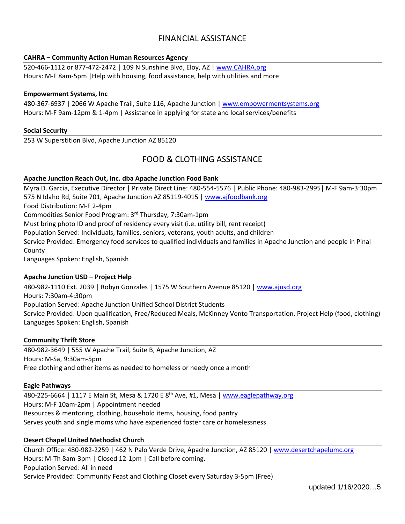# FINANCIAL ASSISTANCE

# **CAHRA – Community Action Human Resources Agency**

520‐466‐1112 or 877‐472‐2472 | 109 N Sunshine Blvd, Eloy, AZ | www.CAHRA.org Hours: M‐F 8am‐5pm |Help with housing, food assistance, help with utilities and more

#### **Empowerment Systems, Inc**

480-367-6937 | 2066 W Apache Trail, Suite 116, Apache Junction | www.empowermentsystems.org Hours: M‐F 9am‐12pm & 1‐4pm | Assistance in applying for state and local services/benefits

#### **Social Security**

253 W Superstition Blvd, Apache Junction AZ 85120

# FOOD & CLOTHING ASSISTANCE

#### **Apache Junction Reach Out, Inc. dba Apache Junction Food Bank**

Myra D. Garcia, Executive Director | Private Direct Line: 480‐554‐5576 | Public Phone: 480‐983‐2995| M‐F 9am‐3:30pm 575 N Idaho Rd, Suite 701, Apache Junction AZ 85119‐4015 | www.ajfoodbank.org Food Distribution: M‐F 2‐4pm Commodities Senior Food Program: 3rd Thursday, 7:30am‐1pm Must bring photo ID and proof of residency every visit (i.e. utility bill, rent receipt) Population Served: Individuals, families, seniors, veterans, youth adults, and children Service Provided: Emergency food services to qualified individuals and families in Apache Junction and people in Pinal County Languages Spoken: English, Spanish

#### **Apache Junction USD – Project Help**

480-982-1110 Ext. 2039 | Robyn Gonzales | 1575 W Southern Avenue 85120 | www.ajusd.org Hours: 7:30am‐4:30pm Population Served: Apache Junction Unified School District Students Service Provided: Upon qualification, Free/Reduced Meals, McKinney Vento Transportation, Project Help (food, clothing) Languages Spoken: English, Spanish

#### **Community Thrift Store**

480‐982‐3649 | 555 W Apache Trail, Suite B, Apache Junction, AZ Hours: M‐Sa, 9:30am‐5pm Free clothing and other items as needed to homeless or needy once a month

#### **Eagle Pathways**

480‐225‐6664 | 1117 E Main St, Mesa & 1720 E 8th Ave, #1, Mesa | www.eaglepathway.org Hours: M‐F 10am‐2pm | Appointment needed Resources & mentoring, clothing, household items, housing, food pantry Serves youth and single moms who have experienced foster care or homelessness

#### **Desert Chapel United Methodist Church**

Church Office: 480‐982‐2259 | 462 N Palo Verde Drive, Apache Junction, AZ 85120 | www.desertchapelumc.org Hours: M‐Th 8am‐3pm | Closed 12‐1pm | Call before coming. Population Served: All in need Service Provided: Community Feast and Clothing Closet every Saturday 3‐5pm (Free)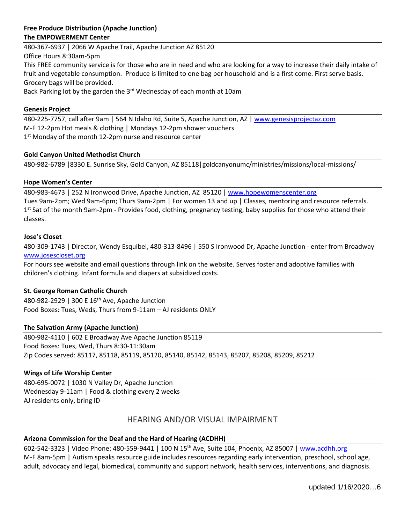# **Free Produce Distribution (Apache Junction) The EMPOWERMENT Center**

480‐367‐6937 | 2066 W Apache Trail, Apache Junction AZ 85120 Office Hours 8:30am‐5pm This FREE community service is for those who are in need and who are looking for a way to increase their daily intake of fruit and vegetable consumption. Produce is limited to one bag per household and is a first come. First serve basis. Grocery bags will be provided.

Back Parking lot by the garden the 3<sup>rd</sup> Wednesday of each month at 10am

#### **Genesis Project**

480-225-7757, call after 9am | 564 N Idaho Rd, Suite 5, Apache Junction, AZ | www.genesisprojectaz.com M‐F 12‐2pm Hot meals & clothing | Mondays 12‐2pm shower vouchers 1<sup>st</sup> Monday of the month 12-2pm nurse and resource center

## **Gold Canyon United Methodist Church**

480‐982‐6789 |8330 E. Sunrise Sky, Gold Canyon, AZ 85118|goldcanyonumc/ministries/missions/local‐missions/

## **Hope Women's Center**

480‐983‐4673 | 252 N Ironwood Drive, Apache Junction, AZ 85120 | www.hopewomenscenter.org Tues 9am‐2pm; Wed 9am‐6pm; Thurs 9am‐2pm | For women 13 and up | Classes, mentoring and resource referrals. 1<sup>st</sup> Sat of the month 9am-2pm - Provides food, clothing, pregnancy testing, baby supplies for those who attend their classes.

#### **Jose's Closet**

480‐309‐1743 | Director, Wendy Esquibel, 480‐313‐8496 | 550 S Ironwood Dr, Apache Junction ‐ enter from Broadway www.josescloset.org

For hours see website and email questions through link on the website. Serves foster and adoptive families with children's clothing. Infant formula and diapers at subsidized costs.

#### **St. George Roman Catholic Church**

480‐982‐2929 | 300 E 16th Ave, Apache Junction Food Boxes: Tues, Weds, Thurs from 9‐11am – AJ residents ONLY

# **The Salvation Army (Apache Junction)**

480‐982‐4110 | 602 E Broadway Ave Apache Junction 85119 Food Boxes: Tues, Wed, Thurs 8:30‐11:30am Zip Codes served: 85117, 85118, 85119, 85120, 85140, 85142, 85143, 85207, 85208, 85209, 85212

# **Wings of Life Worship Center**

480‐695‐0072 | 1030 N Valley Dr, Apache Junction Wednesday 9‐11am | Food & clothing every 2 weeks AJ residents only, bring ID

# HEARING AND/OR VISUAL IMPAIRMENT

# **Arizona Commission for the Deaf and the Hard of Hearing (ACDHH)**

602‐542‐3323 | Video Phone: 480‐559‐9441 | 100 N 15th Ave, Suite 104, Phoenix, AZ 85007 | www.acdhh.org M‐F 8am‐5pm | Autism speaks resource guide includes resources regarding early intervention, preschool, school age, adult, advocacy and legal, biomedical, community and support network, health services, interventions, and diagnosis.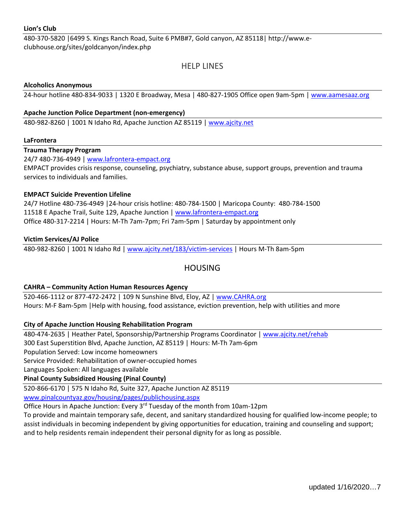480‐370‐5820 |6499 S. Kings Ranch Road, Suite 6 PMB#7, Gold canyon, AZ 85118| http://www.e‐ clubhouse.org/sites/goldcanyon/index.php

# HELP LINES

## **Alcoholics Anonymous**

24-hour hotline 480-834-9033 | 1320 E Broadway, Mesa | 480-827-1905 Office open 9am-5pm | www.aamesaaz.org

## **Apache Junction Police Department (non‐emergency)**

480-982-8260 | 1001 N Idaho Rd, Apache Junction AZ 85119 | www.ajcity.net

## **LaFrontera**

**Trauma Therapy Program** 

24/7 480‐736‐4949 | www.lafrontera‐empact.org

EMPACT provides crisis response, counseling, psychiatry, substance abuse, support groups, prevention and trauma services to individuals and families.

# **EMPACT Suicide Prevention Lifeline**

24/7 Hotline 480‐736‐4949 |24‐hour crisis hotline: 480‐784‐1500 | Maricopa County: 480‐784‐1500 11518 E Apache Trail, Suite 129, Apache Junction | www.lafrontera‐empact.org Office 480‐317‐2214 | Hours: M‐Th 7am‐7pm; Fri 7am‐5pm | Saturday by appointment only

## **Victim Services/AJ Police**

480‐982‐8260 | 1001 N Idaho Rd | www.ajcity.net/183/victim‐services | Hours M‐Th 8am‐5pm

# HOUSING

# **CAHRA – Community Action Human Resources Agency**

520‐466‐1112 or 877‐472‐2472 | 109 N Sunshine Blvd, Eloy, AZ | www.CAHRA.org Hours: M-F 8am-5pm | Help with housing, food assistance, eviction prevention, help with utilities and more

# **City of Apache Junction Housing Rehabilitation Program**

480‐474‐2635 | Heather Patel, Sponsorship/Partnership Programs Coordinator | www.ajcity.net/rehab 300 East Superstition Blvd, Apache Junction, AZ 85119 | Hours: M‐Th 7am‐6pm Population Served: Low income homeowners

Service Provided: Rehabilitation of owner‐occupied homes

Languages Spoken: All languages available

# **Pinal County Subsidized Housing (Pinal County)**

520‐866‐6170 | 575 N Idaho Rd, Suite 327, Apache Junction AZ 85119 www.pinalcountyaz.gov/housing/pages/publichousing.aspx

Office Hours in Apache Junction: Every 3rd Tuesday of the month from 10am‐12pm

To provide and maintain temporary safe, decent, and sanitary standardized housing for qualified low‐income people; to assist individuals in becoming independent by giving opportunities for education, training and counseling and support; and to help residents remain independent their personal dignity for as long as possible.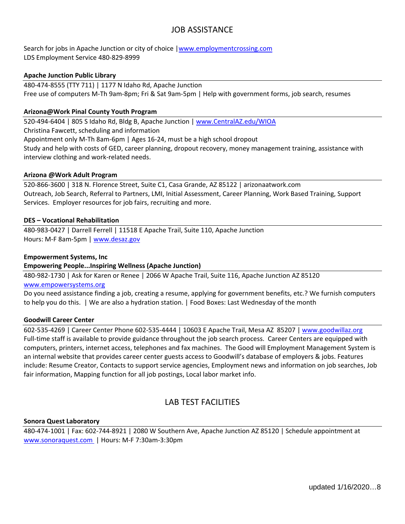# JOB ASSISTANCE

Search for jobs in Apache Junction or city of choice |www.employmentcrossing.com LDS Employment Service 480‐829‐8999

## **Apache Junction Public Library**

480‐474‐8555 (TTY 711) | 1177 N Idaho Rd, Apache Junction Free use of computers M‐Th 9am‐8pm; Fri & Sat 9am‐5pm | Help with government forms, job search, resumes

#### **Arizona@Work Pinal County Youth Program**

520‐494‐6404 | 805 S Idaho Rd, Bldg B, Apache Junction | www.CentralAZ.edu/WIOA Christina Fawcett, scheduling and information Appointment only M‐Th 8am‐6pm | Ages 16‐24, must be a high school dropout Study and help with costs of GED, career planning, dropout recovery, money management training, assistance with interview clothing and work‐related needs.

#### **Arizona @Work Adult Program**

520‐866‐3600 | 318 N. Florence Street, Suite C1, Casa Grande, AZ 85122 | arizonaatwork.com Outreach, Job Search, Referral to Partners, LMI, Initial Assessment, Career Planning, Work Based Training, Support Services. Employer resources for job fairs, recruiting and more.

#### **DES – Vocational Rehabilitation**

480‐983‐0427 | Darrell Ferrell | 11518 E Apache Trail, Suite 110, Apache Junction Hours: M-F 8am-5pm | www.desaz.gov

#### **Empowerment Systems, Inc**

#### **Empowering People...Inspiring Wellness (Apache Junction)**

480‐982‐1730 | Ask for Karen or Renee | 2066 W Apache Trail, Suite 116, Apache Junction AZ 85120 www.empowersystems.org

Do you need assistance finding a job, creating a resume, applying for government benefits, etc.? We furnish computers to help you do this. | We are also a hydration station. | Food Boxes: Last Wednesday of the month

#### **Goodwill Career Center**

602‐535‐4269 | Career Center Phone 602‐535‐4444 | 10603 E Apache Trail, Mesa AZ 85207 | www.goodwillaz.org Full-time staff is available to provide guidance throughout the job search process. Career Centers are equipped with computers, printers, internet access, telephones and fax machines. The Good will Employment Management System is an internal website that provides career center guests access to Goodwill's database of employers & jobs. Features include: Resume Creator, Contacts to support service agencies, Employment news and information on job searches, Job fair information, Mapping function for all job postings, Local labor market info.

# LAB TEST FACILITIES

#### **Sonora Quest Laboratory**

480‐474‐1001 | Fax: 602‐744‐8921 | 2080 W Southern Ave, Apache Junction AZ 85120 | Schedule appointment at www.sonoraquest.com | Hours: M‐F 7:30am‐3:30pm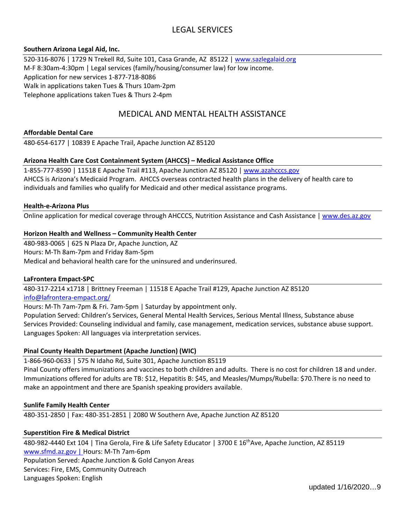# LEGAL SERVICES

## **Southern Arizona Legal Aid, Inc.**

520‐316‐8076 | 1729 N Trekell Rd, Suite 101, Casa Grande, AZ 85122 | www.sazlegalaid.org M-F 8:30am-4:30pm | Legal services (family/housing/consumer law) for low income. Application for new services 1‐877‐718‐8086 Walk in applications taken Tues & Thurs 10am‐2pm Telephone applications taken Tues & Thurs 2‐4pm

# MEDICAL AND MENTAL HEALTH ASSISTANCE

## **Affordable Dental Care**

480‐654‐6177 | 10839 E Apache Trail, Apache Junction AZ 85120

## **Arizona Health Care Cost Containment System (AHCCS) – Medical Assistance Office**

1-855-777-8590 | 11518 E Apache Trail #113, Apache Junction AZ 85120 | www.azahcccs.gov AHCCS is Arizona's Medicaid Program. AHCCS overseas contracted health plans in the delivery of health care to individuals and families who qualify for Medicaid and other medical assistance programs.

## **Health‐e‐Arizona Plus**

Online application for medical coverage through AHCCCS, Nutrition Assistance and Cash Assistance | www.des.az.gov

## **Horizon Health and Wellness – Community Health Center**

480‐983‐0065 | 625 N Plaza Dr, Apache Junction, AZ Hours: M‐Th 8am‐7pm and Friday 8am‐5pm Medical and behavioral health care for the uninsured and underinsured.

#### **LaFrontera Empact‐SPC**

480‐317‐2214 x1718 | Brittney Freeman | 11518 E Apache Trail #129, Apache Junction AZ 85120 info@lafrontera‐empact.org/

Hours: M‐Th 7am‐7pm & Fri. 7am‐5pm | Saturday by appointment only.

Population Served: Children's Services, General Mental Health Services, Serious Mental Illness, Substance abuse Services Provided: Counseling individual and family, case management, medication services, substance abuse support. Languages Spoken: All languages via interpretation services.

# **Pinal County Health Department (Apache Junction) (WIC)**

1‐866‐960‐0633 | 575 N Idaho Rd, Suite 301, Apache Junction 85119

Pinal County offers immunizations and vaccines to both children and adults. There is no cost for children 18 and under. Immunizations offered for adults are TB: \$12, Hepatitis B: \$45, and Measles/Mumps/Rubella: \$70.There is no need to make an appointment and there are Spanish speaking providers available.

#### **Sunlife Family Health Center**

480‐351‐2850 | Fax: 480‐351‐2851 | 2080 W Southern Ave, Apache Junction AZ 85120

#### **Superstition Fire & Medical District**

480-982-4440 Ext 104 | Tina Gerola, Fire & Life Safety Educator | 3700 E 16<sup>th</sup>Ave, Apache Junction, AZ 85119 www.sfmd.az.gov | Hours: M‐Th 7am‐6pm Population Served: Apache Junction & Gold Canyon Areas Services: Fire, EMS, Community Outreach Languages Spoken: English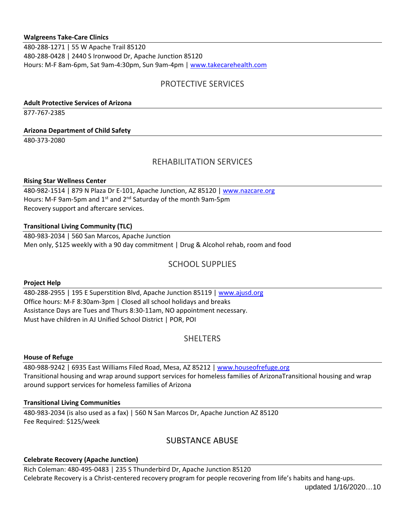## **Walgreens Take‐Care Clinics**

480‐288‐1271 | 55 W Apache Trail 85120 480‐288‐0428 | 2440 S Ironwood Dr, Apache Junction 85120 Hours: M-F 8am-6pm, Sat 9am-4:30pm, Sun 9am-4pm | www.takecarehealth.com

# PROTECTIVE SERVICES

# **Adult Protective Services of Arizona**

877‐767‐2385

## **Arizona Department of Child Safety**

480‐373‐2080

# REHABILITATION SERVICES

## **Rising Star Wellness Center**

480‐982‐1514 | 879 N Plaza Dr E‐101, Apache Junction, AZ 85120 | www.nazcare.org Hours: M-F 9am-5pm and 1<sup>st</sup> and 2<sup>nd</sup> Saturday of the month 9am-5pm Recovery support and aftercare services.

# **Transitional Living Community (TLC)**

480‐983‐2034 | 560 San Marcos, Apache Junction Men only, \$125 weekly with a 90 day commitment | Drug & Alcohol rehab, room and food

# SCHOOL SUPPLIES

#### **Project Help**

480‐288‐2955 | 195 E Superstition Blvd, Apache Junction 85119 | www.ajusd.org Office hours: M‐F 8:30am‐3pm | Closed all school holidays and breaks Assistance Days are Tues and Thurs 8:30‐11am, NO appointment necessary. Must have children in AJ Unified School District | POR, POI

# **SHELTERS**

#### **House of Refuge**

480‐988‐9242 | 6935 East Williams Filed Road, Mesa, AZ 85212 | www.houseofrefuge.org Transitional housing and wrap around support services for homeless families of ArizonaTransitional housing and wrap around support services for homeless families of Arizona

# **Transitional Living Communities**

480‐983‐2034 (is also used as a fax) | 560 N San Marcos Dr, Apache Junction AZ 85120 Fee Required: \$125/week

# SUBSTANCE ABUSE

# **Celebrate Recovery (Apache Junction)**

Rich Coleman: 480‐495‐0483 | 235 S Thunderbird Dr, Apache Junction 85120 Celebrate Recovery is a Christ‐centered recovery program for people recovering from life's habits and hang‐ups.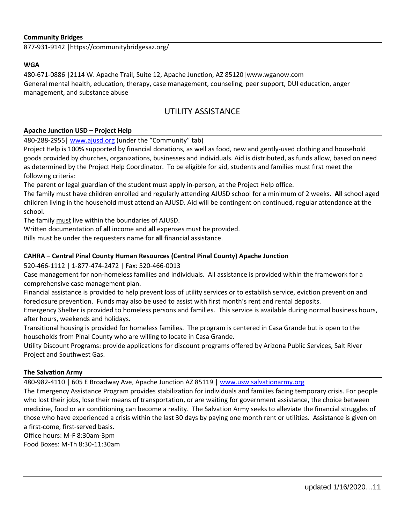## **Community Bridges**

877‐931‐9142 |https://communitybridgesaz.org/

#### **WGA**

480‐671‐0886 |2114 W. Apache Trail, Suite 12, Apache Junction, AZ 85120|www.wganow.com General mental health, education, therapy, case management, counseling, peer support, DUI education, anger management, and substance abuse

# UTILITY ASSISTANCE

#### **Apache Junction USD – Project Help**

480-288-2955| www.ajusd.org (under the "Community" tab)

Project Help is 100% supported by financial donations, as well as food, new and gently‐used clothing and household goods provided by churches, organizations, businesses and individuals. Aid is distributed, as funds allow, based on need as determined by the Project Help Coordinator. To be eligible for aid, students and families must first meet the following criteria:

The parent or legal guardian of the student must apply in‐person, at the Project Help office.

The family must have children enrolled and regularly attending AJUSD school for a minimum of 2 weeks. **All** school aged children living in the household must attend an AJUSD. Aid will be contingent on continued, regular attendance at the school.

The family must live within the boundaries of AJUSD.

Written documentation of **all** income and **all** expenses must be provided.

Bills must be under the requesters name for **all** financial assistance.

## **CAHRA – Central Pinal County Human Resources (Central Pinal County) Apache Junction**

#### 520‐466‐1112 | 1‐877‐474‐2472 | Fax: 520‐466‐0013

Case management for non‐homeless families and individuals. All assistance is provided within the framework for a comprehensive case management plan.

Financial assistance is provided to help prevent loss of utility services or to establish service, eviction prevention and foreclosure prevention. Funds may also be used to assist with first month's rent and rental deposits.

Emergency Shelter is provided to homeless persons and families. This service is available during normal business hours, after hours, weekends and holidays.

Transitional housing is provided for homeless families. The program is centered in Casa Grande but is open to the households from Pinal County who are willing to locate in Casa Grande.

Utility Discount Programs: provide applications for discount programs offered by Arizona Public Services, Salt River Project and Southwest Gas.

# **The Salvation Army**

480‐982‐4110 | 605 E Broadway Ave, Apache Junction AZ 85119 | www.usw.salvationarmy.org

The Emergency Assistance Program provides stabilization for individuals and families facing temporary crisis. For people who lost their jobs, lose their means of transportation, or are waiting for government assistance, the choice between medicine, food or air conditioning can become a reality. The Salvation Army seeks to alleviate the financial struggles of those who have experienced a crisis within the last 30 days by paying one month rent or utilities. Assistance is given on a first‐come, first‐served basis.

Office hours: M‐F 8:30am‐3pm Food Boxes: M‐Th 8:30‐11:30am